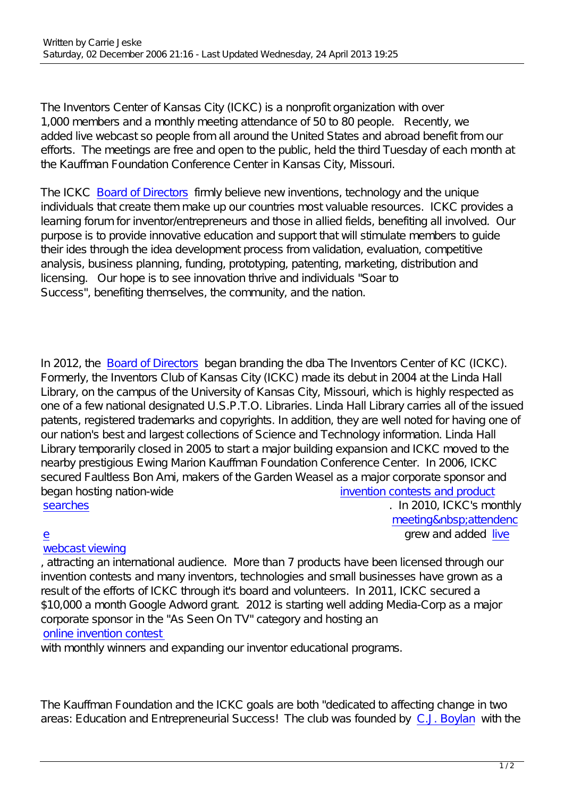The Inventors Center of Kansas City (ICKC) is a nonprofit organization with over 1,000 members and a monthly meeting attendance of 50 to 80 people. Recently, we added live webcast so people from all around the United States and abroad benefit from our efforts. The meetings are free and open to the public, held the third Tuesday of each month at the Kauffman Foundation Conference Center in Kansas City, Missouri.

The ICKC Board of Directors firmly believe new inventions, technology and the unique individuals that create them make up our countries most valuable resources. ICKC provides a learning forum for inventor/entrepreneurs and those in allied fields, benefiting all involved. Our purpose is [to provide innovativ](index.php?option=com_content&view=article&id=42:ickc-board-of-directiors&catid=34:board&Itemid=85)e education and support that will stimulate members to guide their ides through the idea development process from validation, evaluation, competitive analysis, business planning, funding, prototyping, patenting, marketing, distribution and licensing. Our hope is to see innovation thrive and individuals "Soar to Success", benefiting themselves, the community, and the nation.

In 2012, the Board of Directors began branding the dba The Inventors Center of KC (ICKC). Formerly, the Inventors Club of Kansas City (ICKC) made its debut in 2004 at the Linda Hall Library, on the campus of the University of Kansas City, Missouri, which is highly respected as one of a few [national designated](index.php?option=com_content&view=article&id=42:ickc-board-of-directiors&catid=34:board&Itemid=85) U.S.P.T.O. Libraries. Linda Hall Library carries all of the issued patents, registered trademarks and copyrights. In addition, they are well noted for having one of our nation's best and largest collections of Science and Technology information. Linda Hall Library temporarily closed in 2005 to start a major building expansion and ICKC moved to the nearby prestigious Ewing Marion Kauffman Foundation Conference Center. In 2006, ICKC secured Faultless Bon Ami, makers of the Garden Weasel as a major corporate sponsor and began hosting nation-wide invention contests and product searches . In 2010, ICKC's monthly

## e [grew and added l](index.php?option=com_content&view=article&id=114:contest-overview&catid=22:contests&Itemid=38)ive [webcast v](index.php?option=com_content&view=article&id=114:contest-overview&catid=22:contests&Itemid=38)iewing

, attracting an international audience. More than 7 products have bee[n licensed through our](index.php?option=com_content&view=article&id=20:membership&catid=19:membership&Itemid=34) [in](index.php?option=com_content&view=article&id=20:membership&catid=19:membership&Itemid=34)vention contests and many inventors, technologies and small businesses have grown a[s a](index.php?option=com_content&view=article&id=33:video-lists&catid=31:video&Itemid=55) [result of the effort](index.php?option=com_content&view=article&id=33:video-lists&catid=31:video&Itemid=55)s of ICKC through it's board and volunteers. In 2011, ICKC secured a \$10,000 a month Google Adword grant. 2012 is starting well adding Media-Corp as a major corporate sponsor in the "As Seen On TV" category and hosting an online invention contest

with monthly winners and expanding our inventor educational programs.

The Kauffman Foundation and the ICKC goals are both "dedicated to affecting change in two areas: Education and Entrepreneurial Success! The club was founded by C.J. Boylan with the

meeting attendenc